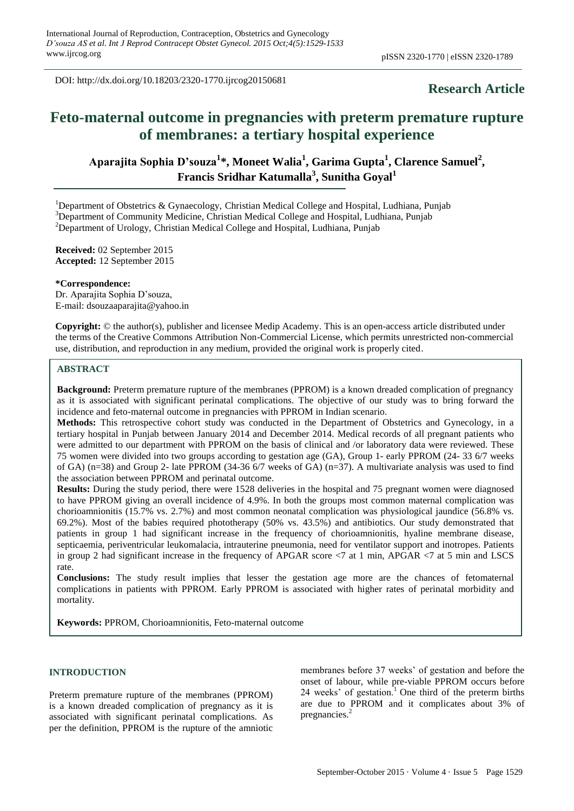DOI: http://dx.doi.org/10.18203/2320-1770.ijrcog20150681

# **Research Article**

# **Feto-maternal outcome in pregnancies with preterm premature rupture of membranes: a tertiary hospital experience**

**Aparajita Sophia D'souza<sup>1</sup> \*, Moneet Walia<sup>1</sup> , Garima Gupta<sup>1</sup> , Clarence Samuel<sup>2</sup> , Francis Sridhar Katumalla<sup>3</sup> , Sunitha Goyal<sup>1</sup>**

<sup>1</sup>Department of Obstetrics & Gynaecology, Christian Medical College and Hospital, Ludhiana, Punjab <sup>3</sup>Department of Community Medicine, Christian Medical College and Hospital, Ludhiana, Punjab

<sup>2</sup>Department of Urology, Christian Medical College and Hospital, Ludhiana, Punjab

**Received:** 02 September 2015 **Accepted:** 12 September 2015

**\*Correspondence:** Dr. Aparajita Sophia D'souza, E-mail: dsouzaaparajita@yahoo.in

**Copyright:** © the author(s), publisher and licensee Medip Academy. This is an open-access article distributed under the terms of the Creative Commons Attribution Non-Commercial License, which permits unrestricted non-commercial use, distribution, and reproduction in any medium, provided the original work is properly cited.

#### **ABSTRACT**

**Background:** Preterm premature rupture of the membranes (PPROM) is a known dreaded complication of pregnancy as it is associated with significant perinatal complications. The objective of our study was to bring forward the incidence and feto-maternal outcome in pregnancies with PPROM in Indian scenario.

**Methods:** This retrospective cohort study was conducted in the Department of Obstetrics and Gynecology, in a tertiary hospital in Punjab between January 2014 and December 2014. Medical records of all pregnant patients who were admitted to our department with PPROM on the basis of clinical and /or laboratory data were reviewed. These 75 women were divided into two groups according to gestation age (GA), Group 1- early PPROM (24- 33 6/7 weeks of GA) (n=38) and Group 2- late PPROM (34-36 6/7 weeks of GA) (n=37). A multivariate analysis was used to find the association between PPROM and perinatal outcome.

**Results:** During the study period, there were 1528 deliveries in the hospital and 75 pregnant women were diagnosed to have PPROM giving an overall incidence of 4.9%. In both the groups most common maternal complication was chorioamnionitis (15.7% vs. 2.7%) and most common neonatal complication was physiological jaundice (56.8% vs. 69.2%). Most of the babies required phototherapy (50% vs. 43.5%) and antibiotics. Our study demonstrated that patients in group 1 had significant increase in the frequency of chorioamnionitis, hyaline membrane disease, septicaemia, periventricular leukomalacia, intrauterine pneumonia, need for ventilator support and inotropes. Patients in group 2 had significant increase in the frequency of APGAR score <7 at 1 min, APGAR <7 at 5 min and LSCS rate.

**Conclusions:** The study result implies that lesser the gestation age more are the chances of fetomaternal complications in patients with PPROM. Early PPROM is associated with higher rates of perinatal morbidity and mortality.

**Keywords:** PPROM, Chorioamnionitis, Feto-maternal outcome

#### **INTRODUCTION**

Preterm premature rupture of the membranes (PPROM) is a known dreaded complication of pregnancy as it is associated with significant perinatal complications. As per the definition, PPROM is the rupture of the amniotic

membranes before 37 weeks' of gestation and before the onset of labour, while pre-viable PPROM occurs before 24 weeks' of gestation. $1$  One third of the preterm births are due to PPROM and it complicates about 3% of pregnancies.<sup>2</sup>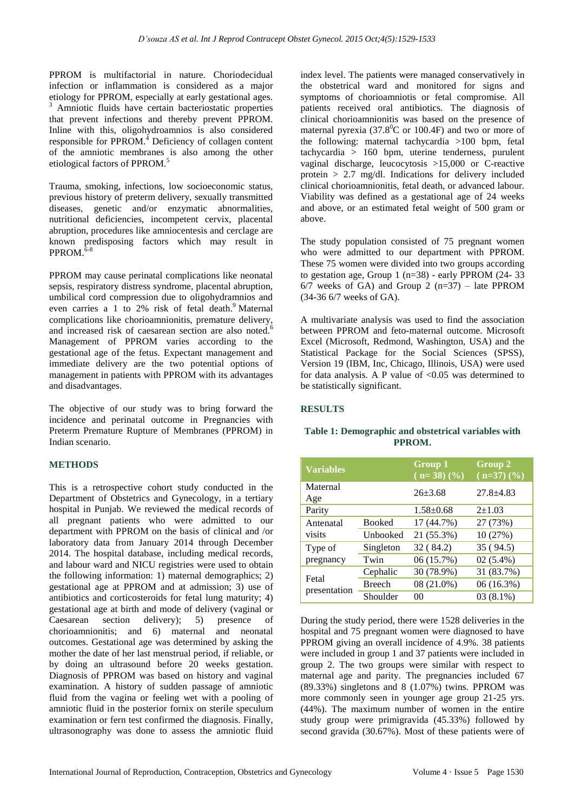PPROM is multifactorial in nature. Choriodecidual infection or inflammation is considered as a major etiology for PPROM, especially at early gestational ages. Amniotic fluids have certain bacteriostatic properties that prevent infections and thereby prevent PPROM. Inline with this, oligohydroamnios is also considered responsible for PPROM[.](http://www.ncbi.nlm.nih.gov/pmc/articles/PMC512289/#B2)<sup>4</sup> Deficiency of collagen content of the amniotic membranes is also among the other etiological factors of PPROM.<sup>5</sup>

Trauma, smoking, infections, low socioeconomic status, previous history of preterm delivery, sexually transmitted diseases, genetic and/or enzymatic abnormalities, nutritional deficiencies, incompetent cervix, placental abruption, procedures like amniocentesis and cerclage are known predisposing factors which may result in PPROM. $6-8$ 

PPROM may cause perinatal complications like neonatal sepsis, respiratory distress syndrome, placental abruption, umbilical cord compression due to oligohydramnios and even carries a 1 to 2% risk of fetal death.<sup>9</sup> Maternal even carries  $\alpha + \alpha = 7\alpha$  complications like chorioamnionitis, premature delivery, and increased risk of caesarean section are also noted.<sup>6</sup> Management of PPROM varies according to the gestational age of the fetus. Expectant management and immediate delivery are the two potential options of management in patients with PPROM with its advantages and disadvantages.

The objective of our study was to bring forward the incidence and perinatal outcome in Pregnancies with Preterm Premature Rupture of Membranes (PPROM) in Indian scenario.

# **METHODS**

This is a retrospective cohort study conducted in the Department of Obstetrics and Gynecology, in a tertiary hospital in Punjab. We reviewed the medical records of all pregnant patients who were admitted to our department with PPROM on the basis of clinical and /or laboratory data from January 2014 through December 2014. The hospital database, including medical records, and labour ward and NICU registries were used to obtain the following information: 1) maternal demographics; 2) gestational age at PPROM and at admission; 3) use of antibiotics and corticosteroids for fetal lung maturity; 4) gestational age at birth and mode of delivery (vaginal or Caesarean section delivery); 5) presence of chorioamnionitis; and 6) maternal and neonatal outcomes. Gestational age was determined by asking the mother the date of her last menstrual period, if reliable, or by doing an ultrasound before 20 weeks gestation. Diagnosis of PPROM was based on history and vaginal examination. A history of sudden passage of amniotic fluid from the vagina or feeling wet with a pooling of amniotic fluid in the posterior fornix on sterile speculum examination or fern test confirmed the diagnosis. Finally, ultrasonography was done to assess the amniotic fluid index level. The patients were managed conservatively in the obstetrical ward and monitored for signs and symptoms of chorioamniotis or fetal compromise. All patients received oral antibiotics. The diagnosis of clinical chorioamnionitis was based on the presence of maternal pyrexia (37.8 $^0$ C or 100.4F) and two or more of the following: maternal tachycardia >100 bpm, fetal tachycardia > 160 bpm, uterine tenderness, purulent vaginal discharge, leucocytosis >15,000 or C-reactive protein  $> 2.7$  mg/dl. Indications for delivery included clinical chorioamnionitis, fetal death, or advanced labour. Viability was defined as a gestational age of 24 weeks and above, or an estimated fetal weight of 500 gram or above.

The study population consisted of 75 pregnant women who were admitted to our department with PPROM. These 75 women were divided into two groups according to gestation age, Group 1 (n=38) - early PPROM (24- 33  $6/7$  weeks of GA) and Group 2 (n=37) – late PPROM (34-36 6/7 weeks of GA).

A multivariate analysis was used to find the association between PPROM and feto-maternal outcome. Microsoft Excel (Microsoft, Redmond, Washington, USA) and the Statistical Package for the Social Sciences (SPSS), Version 19 (IBM, Inc, Chicago, Illinois, USA) were used for data analysis. A P value of  $< 0.05$  was determined to be statistically significant.

# **RESULTS**

# **Table 1: Demographic and obstetrical variables with PPROM.**

| <b>Variables</b>      |               | <b>Group 1</b><br>$(n=38)(%)$ | Group 2<br>$(n=37)$ $(\sqrt[6]{6})$ |
|-----------------------|---------------|-------------------------------|-------------------------------------|
| Maternal<br>Age       |               | $26 \pm 3.68$                 | $27.8 + 4.83$                       |
| Parity                |               | $1.58 + 0.68$                 | $2+1.03$                            |
| Antenatal<br>visits   | <b>Booked</b> | 17 (44.7%)                    | 27 (73%)                            |
|                       | Unbooked      | 21 (55.3%)                    | 10 (27%)                            |
| Type of<br>pregnancy  | Singleton     | 32 (84.2)                     | 35 (94.5)                           |
|                       | Twin          | 06 (15.7%)                    | $02(5.4\%)$                         |
| Fetal<br>presentation | Cephalic      | 30 (78.9%)                    | 31 (83.7%)                          |
|                       | <b>Breech</b> | 08 (21.0%)                    | $06(16.3\%)$                        |
|                       | Shoulder      | 0 <sup>0</sup>                | $03(8.1\%)$                         |

During the study period, there were 1528 deliveries in the hospital and 75 pregnant women were diagnosed to have PPROM giving an overall incidence of 4.9%. 38 patients were included in group 1 and 37 patients were included in group 2. The two groups were similar with respect to maternal age and parity. The pregnancies included 67 (89.33%) singletons and 8 (1.07%) twins. PPROM was more commonly seen in younger age group 21-25 yrs. (44%). The maximum number of women in the entire study group were primigravida (45.33%) followed by second gravida (30.67%). Most of these patients were of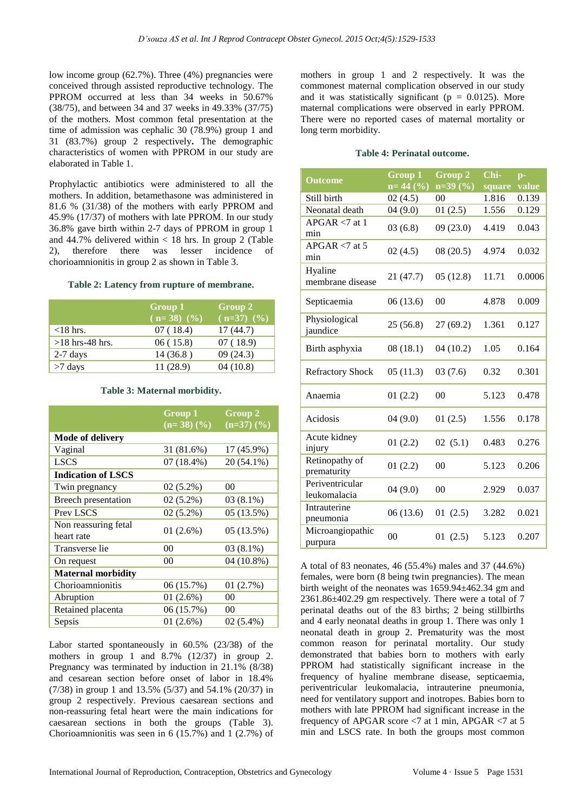low income group (62.7%). Three (4%) pregnancies were conceived through assisted reproductive technology. The PPROM occurred at less than 34 weeks in 50.67% (38/75), and between 34 and 37 weeks in 49.33% (37/75) of the mothers. Most common fetal presentation at the time of admission was cephalic 30 (78.9%) group 1 and 31 (83.7%) group 2 respectively**.** The demographic characteristics of women with PPROM in our study are elaborated in Table 1.

Prophylactic antibiotics were administered to all the mothers. In addition, betamethasone was administered in 81.6 % (31/38) of the mothers with early PPROM and 45.9% (17/37) of mothers with late PPROM. In our study 36.8% gave birth within 2-7 days of PPROM in group 1 and 44.7% delivered within  $<$  18 hrs. In group 2 (Table 2), therefore there was lesser incidence of chorioamnionitis in group 2 as shown in Table 3.

#### **Table 2: Latency from rupture of membrane.**

|                   | Group 1<br>$(n=38)$ $(%$ | Group 2<br>$(n=37)$ $(%$ |
|-------------------|--------------------------|--------------------------|
| $<$ 18 hrs.       | 07(18.4)                 | 17(44.7)                 |
| $>18$ hrs-48 hrs. | 06(15.8)                 | 07(18.9)                 |
| $2-7$ days        | 14(36.8)                 | 09(24.3)                 |
| $>7$ days         | 11(28.9)                 | 04(10.8)                 |

#### **Table 3: Maternal morbidity.**

|                                    | Group 1<br>$(n=38)$ $(\frac{9}{6})$ | Group 2<br>$(n=37)$ $(\frac{9}{6})$ |
|------------------------------------|-------------------------------------|-------------------------------------|
| Mode of delivery                   |                                     |                                     |
| Vaginal                            | 31 (81.6%)                          | 17 (45.9%)                          |
| <b>LSCS</b>                        | $07(18.4\%)$                        | 20 (54.1%)                          |
| <b>Indication of LSCS</b>          |                                     |                                     |
| Twin pregnancy                     | $02(5.2\%)$                         | 00                                  |
| Breech presentation                | $02(5.2\%)$                         | $03(8.1\%)$                         |
| Prev LSCS                          | $02(5.2\%)$                         | 05(13.5%)                           |
| Non reassuring fetal<br>heart rate | 01(2.6%)                            | 05 (13.5%)                          |
| Transverse lie                     | 00                                  | $03(8.1\%)$                         |
| On request                         | 0 <sup>0</sup>                      | 04 (10.8%)                          |
| <b>Maternal morbidity</b>          |                                     |                                     |
| Chorioamnionitis                   | 06 (15.7%)                          | 01(2.7%)                            |
| Abruption                          | 01 (2.6%)                           | 00                                  |
| Retained placenta                  | 06 (15.7%)                          | $00\,$                              |
| Sepsis                             | 01 (2.6%)                           | $02(5.4\%)$                         |

Labor started spontaneously in 60.5% (23/38) of the mothers in group 1 and 8.7% (12/37) in group 2. Pregnancy was terminated by induction in 21.1% (8/38) and cesarean section before onset of labor in 18.4% (7/38) in group 1 and 13.5% (5/37) and 54.1% (20/37) in group 2 respectively. Previous caesarean sections and non-reassuring fetal heart were the main indications for caesarean sections in both the groups (Table 3). Chorioamnionitis was seen in 6 (15.7%) and 1 (2.7%) of mothers in group 1 and 2 respectively. It was the commonest maternal complication observed in our study and it was statistically significant ( $p = 0.0125$ ). More maternal complications were observed in early PPROM. There were no reported cases of maternal mortality or long term morbidity.

# **Table 4: Perinatal outcome.**

| <b>Outcome</b>                  | <b>Group 1</b><br>$n=44($ %) | Group 2         | Chi-            | $p-$<br>value |
|---------------------------------|------------------------------|-----------------|-----------------|---------------|
| Still birth                     | 02(4.5)                      | $n=39(%)$<br>00 | square<br>1.816 | 0.139         |
| Neonatal death                  |                              |                 | 1.556           |               |
|                                 | 04(9.0)                      | 01(2.5)         |                 | 0.129         |
| $APGAR < 7$ at 1<br>min         | 03(6.8)                      | 09(23.0)        | 4.419           | 0.043         |
| $APGAR < 7$ at 5<br>min         | 02(4.5)                      | 08(20.5)        | 4.974           | 0.032         |
| Hyaline<br>membrane disease     | 21 (47.7)                    | 05(12.8)        | 11.71           | 0.0006        |
| Septicaemia                     | 06(13.6)                     | 00              | 4.878           | 0.009         |
| Physiological<br>jaundice       | 25(56.8)                     | 27(69.2)        | 1.361           | 0.127         |
| Birth asphyxia                  | 08(18.1)                     | 04(10.2)        | 1.05            | 0.164         |
| <b>Refractory Shock</b>         | 05(11.3)                     | 03(7.6)         | 0.32            | 0.301         |
| Anaemia                         | 01(2.2)                      | 00              | 5.123           | 0.478         |
| Acidosis                        | 04(9.0)                      | 01(2.5)         | 1.556           | 0.178         |
| Acute kidney<br>injury          | 01(2.2)                      | 02(5.1)         | 0.483           | 0.276         |
| Retinopathy of<br>prematurity   | 01(2.2)                      | 00              | 5.123           | 0.206         |
| Periventricular<br>leukomalacia | 04(9.0)                      | 00              | 2.929           | 0.037         |
| Intrauterine<br>pneumonia       | 06(13.6)                     | 01(2.5)         | 3.282           | 0.021         |
| Microangiopathic<br>purpura     | 00                           | 01(2.5)         | 5.123           | 0.207         |

A total of 83 neonates, 46 (55.4%) males and 37 (44.6%) females, were born (8 being twin pregnancies). The mean birth weight of the neonates was 1659.94±462.34 gm and 2361.86±402.29 gm respectively. There were a total of 7 perinatal deaths out of the 83 births; 2 being stillbirths and 4 early neonatal deaths in group 1. There was only 1 neonatal death in group 2. Prematurity was the most common reason for perinatal mortality. Our study demonstrated that babies born to mothers with early PPROM had statistically significant increase in the frequency of hyaline membrane disease, septicaemia, periventricular leukomalacia, intrauterine pneumonia, need for ventilatory support and inotropes. Babies born to mothers with late PPROM had significant increase in the frequency of APGAR score <7 at 1 min, APGAR <7 at 5 min and LSCS rate. In both the groups most common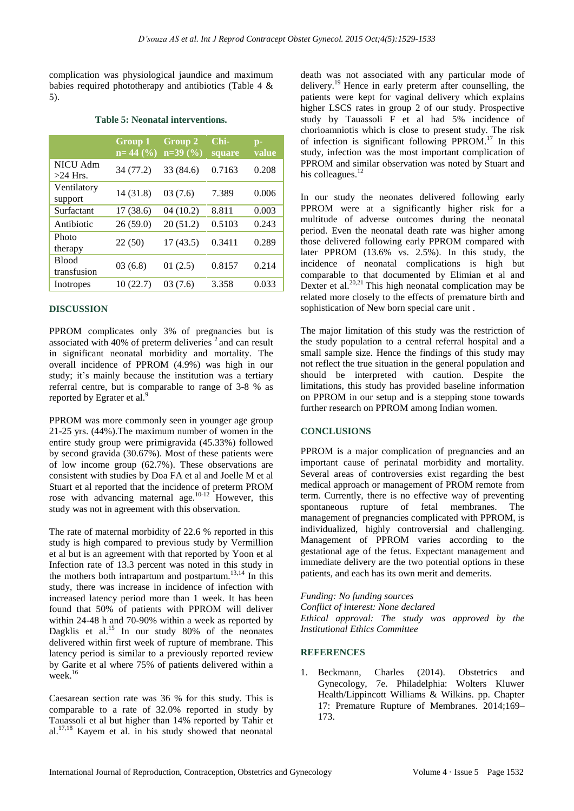complication was physiological jaundice and maximum babies required phototherapy and antibiotics (Table 4 & 5).

#### **Table 5: Neonatal interventions.**

|                               | Group 1<br>$n=44$ (%) | Group 2<br>$n=39(%)$ | Chi-<br>square | $p-$<br>value |
|-------------------------------|-----------------------|----------------------|----------------|---------------|
| <b>NICU Adm</b><br>$>24$ Hrs. | 34 (77.2)             | 33 (84.6)            | 0.7163         | 0.208         |
| Ventilatory<br>support        | 14 (31.8)             | 03(7.6)              | 7.389          | 0.006         |
| Surfactant                    | 17 (38.6)             | 04(10.2)             | 8.811          | 0.003         |
| Antibiotic                    | 26(59.0)              | 20(51.2)             | 0.5103         | 0.243         |
| Photo<br>therapy              | 22(50)                | 17(43.5)             | 0.3411         | 0.289         |
| <b>Blood</b><br>transfusion   | 03(6.8)               | 01(2.5)              | 0.8157         | 0.214         |
| Inotropes                     | 10(22.7)              | 03(7.6)              | 3.358          | 0.033         |
|                               |                       |                      |                |               |

#### **DISCUSSION**

PPROM complicates only 3% of pregnancies but is associated with 40% of preterm deliveries<sup>2</sup> and can result in significant neonatal morbidity and mortality. The overall incidence of PPROM (4.9%) was high in our study; it's mainly because the institution was a tertiary referral centre, but is comparable to range of 3-8 % as reported by Egrater et al.<sup>9</sup>

PPROM was more commonly seen in younger age group 21-25 yrs. (44%).The maximum number of women in the entire study group were primigravida (45.33%) followed by second gravida (30.67%). Most of these patients were of low income group (62.7%). These observations are consistent with studies by Doa FA et al and Joelle M et al Stuart et al reported that the incidence of preterm PROM rose with advancing maternal age.<sup>10-12</sup> However, this study was not in agreement with this observation.

The rate of maternal morbidity of 22.6 % reported in this study is high compared to previous study by Vermillion et al but is an agreement with that reported by Yoon et al Infection rate of 13.3 percent was noted in this study in the mothers both intrapartum and postpartum. $13,14$  In this study, there was increase in incidence of infection with increased latency period more than 1 week. It has been found that 50% of patients with PPROM will deliver within 24-48 h and 70-90% within a week as reported by Dagklis et al.<sup>15</sup> In our study 80% of the neonates delivered within first week of rupture of membrane. This latency period is similar to a previously reported review by Garite et al where 75% of patients delivered within a week. 16

Caesarean section rate was 36 % for this study. This is comparable to a rate of 32.0% reported in study by Tauassoli et al but higher than 14% reported by Tahir et al. $17,18$  Kayem et al. in his study showed that neonatal death was not associated with any particular mode of delivery.<sup>19</sup> Hence in early preterm after counselling, the patients were kept for vaginal delivery which explains higher LSCS rates in group 2 of our study. Prospective study by Tauassoli F et al had 5% incidence of chorioamniotis which is close to present study. The risk of infection is significant following PPROM.<sup>17</sup> In this study, infection was the most important complication of PPROM and similar observation was noted by Stuart and his colleagues.<sup>12</sup>

In our study the neonates delivered following early PPROM were at a significantly higher risk for a multitude of adverse outcomes during the neonatal period. Even the neonatal death rate was higher among those delivered following early PPROM compared with later PPROM (13.6% vs. 2.5%). In this study, the incidence of neonatal complications is high but comparable to that documented by Elimian et al and Dexter et al.<sup>20,21</sup> This high neonatal complication may be related more closely to the effects of premature birth and sophistication of New born special care unit .

The major limitation of this study was the restriction of the study population to a central referral hospital and a small sample size. Hence the findings of this study may not reflect the true situation in the general population and should be interpreted with caution. Despite the limitations, this study has provided baseline information on PPROM in our setup and is a stepping stone towards further research on PPROM among Indian women.

#### **CONCLUSIONS**

PPROM is a major complication of pregnancies and an important cause of perinatal morbidity and mortality. Several areas of controversies exist regarding the best medical approach or management of PROM remote from term. Currently, there is no effective way of preventing spontaneous rupture of fetal membranes. The management of pregnancies complicated with PPROM, is individualized, highly controversial and challenging. Management of PPROM varies according to the gestational age of the fetus. Expectant management and immediate delivery are the two potential options in these patients, and each has its own merit and demerits.

*Funding: No funding sources Conflict of interest: None declared*

*Ethical approval: The study was approved by the Institutional Ethics Committee*

#### **REFERENCES**

1. Beckmann, Charles (2014). Obstetrics and Gynecology, 7e. Philadelphia: Wolters Kluwer Health/Lippincott Williams & Wilkins. pp. Chapter 17: Premature Rupture of Membranes. 2014;169– 173.